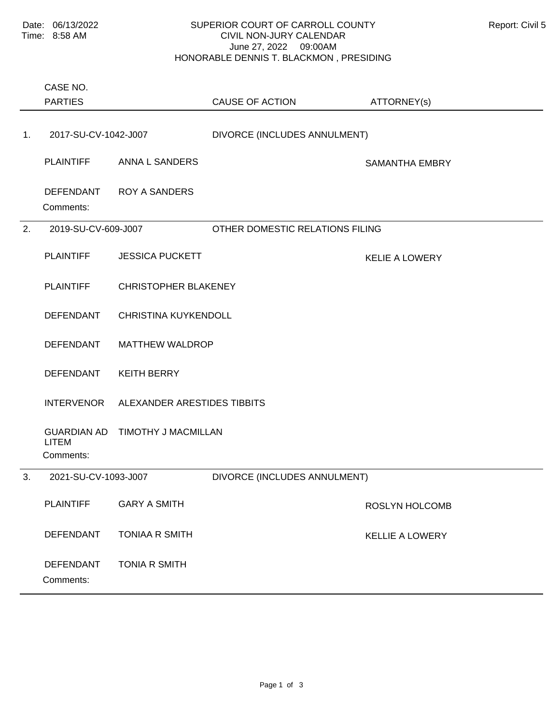## SUPERIOR COURT OF CARROLL COUNTY Report: Civil 5 CIVIL NON-JURY CALENDAR June 27, 2022 09:00AM HONORABLE DENNIS T. BLACKMON , PRESIDING

Comments: PLAINTIFF ANNA L SANDERS SAMANTHA EMBRY DEFENDANT ROY A SANDERS 1. 2017-SU-CV-1042-J007 DIVORCE (INCLUDES ANNULMENT) Comments: PLAINTIFF JESSICA PUCKETT VERTILE A LOWERY PLAINTIFF CHRISTOPHER BLAKENEY DEFENDANT CHRISTINA KUYKENDOLL DEFENDANT MATTHEW WALDROP DEFENDANT KEITH BERRY INTERVENOR ALEXANDER ARESTIDES TIBBITS GUARDIAN AD TIMOTHY J MACMILLAN LITEM 2. 2019-SU-CV-609-J007 OTHER DOMESTIC RELATIONS FILING Comments: PLAINTIFF GARY A SMITH GARY A SMITH DEFENDANT TONIAA R SMITH KELLIE A LOWERY DEFENDANT TONIA R SMITH 3. 2021-SU-CV-1093-J007 DIVORCE (INCLUDES ANNULMENT) PARTIES CASE NO. CAUSE OF ACTION ATTORNEY(s)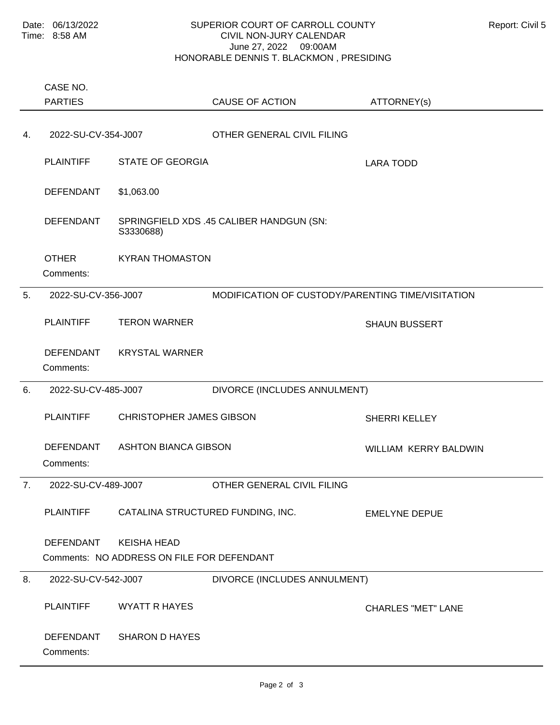## SUPERIOR COURT OF CARROLL COUNTY Report: Civil 5 CIVIL NON-JURY CALENDAR June 27, 2022 09:00AM HONORABLE DENNIS T. BLACKMON , PRESIDING

|    | CASE NO.                                   |                                 |                                                   |                           |
|----|--------------------------------------------|---------------------------------|---------------------------------------------------|---------------------------|
|    | <b>PARTIES</b>                             |                                 | <b>CAUSE OF ACTION</b>                            | ATTORNEY(s)               |
| 4. | 2022-SU-CV-354-J007                        |                                 | OTHER GENERAL CIVIL FILING                        |                           |
|    | <b>PLAINTIFF</b>                           | <b>STATE OF GEORGIA</b>         |                                                   | <b>LARA TODD</b>          |
|    | <b>DEFENDANT</b>                           | \$1,063.00                      |                                                   |                           |
|    | <b>DEFENDANT</b>                           | S3330688)                       | SPRINGFIELD XDS .45 CALIBER HANDGUN (SN:          |                           |
|    | <b>OTHER</b><br>Comments:                  | <b>KYRAN THOMASTON</b>          |                                                   |                           |
| 5. | 2022-SU-CV-356-J007                        |                                 | MODIFICATION OF CUSTODY/PARENTING TIME/VISITATION |                           |
|    | <b>PLAINTIFF</b>                           | <b>TERON WARNER</b>             |                                                   | <b>SHAUN BUSSERT</b>      |
|    | <b>DEFENDANT</b><br>Comments:              | <b>KRYSTAL WARNER</b>           |                                                   |                           |
| 6. | 2022-SU-CV-485-J007                        |                                 | DIVORCE (INCLUDES ANNULMENT)                      |                           |
|    | <b>PLAINTIFF</b>                           | <b>CHRISTOPHER JAMES GIBSON</b> |                                                   | SHERRI KELLEY             |
|    | <b>DEFENDANT</b><br>Comments:              | <b>ASHTON BIANCA GIBSON</b>     |                                                   | WILLIAM KERRY BALDWIN     |
| 7. | 2022-SU-CV-489-J007                        |                                 | OTHER GENERAL CIVIL FILING                        |                           |
|    | <b>PLAINTIFF</b>                           |                                 | CATALINA STRUCTURED FUNDING, INC.                 | <b>EMELYNE DEPUE</b>      |
|    | DEFENDANT                                  | <b>KEISHA HEAD</b>              |                                                   |                           |
|    | Comments: NO ADDRESS ON FILE FOR DEFENDANT |                                 |                                                   |                           |
| 8. | 2022-SU-CV-542-J007                        |                                 | DIVORCE (INCLUDES ANNULMENT)                      |                           |
|    | <b>PLAINTIFF</b>                           | <b>WYATT R HAYES</b>            |                                                   | <b>CHARLES "MET" LANE</b> |
|    | <b>DEFENDANT</b><br>Comments:              | <b>SHARON D HAYES</b>           |                                                   |                           |